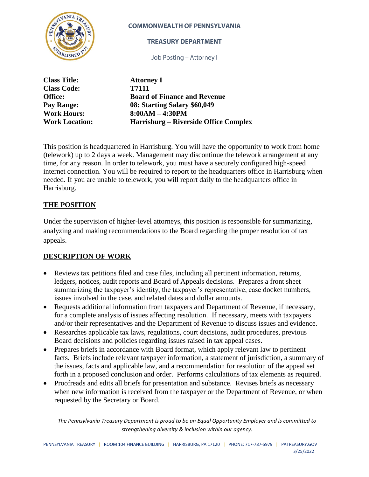

#### **COMMONWEALTH OF PENNSYLVANIA**

#### **TREASURY DEPARTMENT**

Job Posting - Attorney I

| <b>Class Title:</b>   | <b>Attorney I</b>                     |
|-----------------------|---------------------------------------|
| <b>Class Code:</b>    | T7111                                 |
| <b>Office:</b>        | <b>Board of Finance and Revenue</b>   |
| Pay Range:            | 08: Starting Salary \$60,049          |
| <b>Work Hours:</b>    | $8:00AM - 4:30PM$                     |
| <b>Work Location:</b> | Harrisburg – Riverside Office Complex |

This position is headquartered in Harrisburg. You will have the opportunity to work from home (telework) up to 2 days a week. Management may discontinue the telework arrangement at any time, for any reason. In order to telework, you must have a securely configured high-speed internet connection. You will be required to report to the headquarters office in Harrisburg when needed. If you are unable to telework, you will report daily to the headquarters office in Harrisburg.

## **THE POSITION**

Under the supervision of higher-level attorneys, this position is responsible for summarizing, analyzing and making recommendations to the Board regarding the proper resolution of tax appeals.

## **DESCRIPTION OF WORK**

- Reviews tax petitions filed and case files, including all pertinent information, returns, ledgers, notices, audit reports and Board of Appeals decisions. Prepares a front sheet summarizing the taxpayer's identity, the taxpayer's representative, case docket numbers, issues involved in the case, and related dates and dollar amounts.
- Requests additional information from taxpayers and Department of Revenue, if necessary, for a complete analysis of issues affecting resolution. If necessary, meets with taxpayers and/or their representatives and the Department of Revenue to discuss issues and evidence.
- Researches applicable tax laws, regulations, court decisions, audit procedures, previous Board decisions and policies regarding issues raised in tax appeal cases.
- Prepares briefs in accordance with Board format, which apply relevant law to pertinent facts. Briefs include relevant taxpayer information, a statement of jurisdiction, a summary of the issues, facts and applicable law, and a recommendation for resolution of the appeal set forth in a proposed conclusion and order. Performs calculations of tax elements as required.
- Proofreads and edits all briefs for presentation and substance. Revises briefs as necessary when new information is received from the taxpayer or the Department of Revenue, or when requested by the Secretary or Board.

*The Pennsylvania Treasury Department is proud to be an Equal Opportunity Employer and is committed to strengthening diversity & inclusion within our agency.*